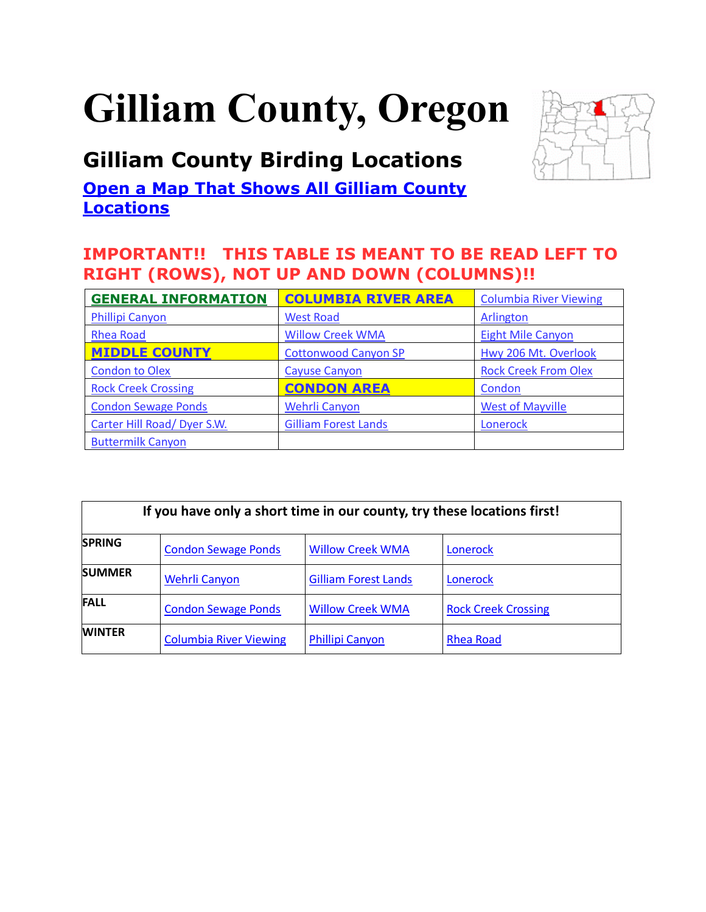# <span id="page-0-0"></span>**Gilliam County, Oregon**

# **Gilliam County Birding Locations**

**Open a Map That Shows All Gilliam County [Locations](https://www.google.com/maps/d/edit?mid=zVl1oTDALjf4.k9OGTIgb9Sdw&usp=sharing)**



| <b>GENERAL INFORMATION</b>  | <b>COLUMBIA RIVER AREA</b>  | <b>Columbia River Viewing</b> |
|-----------------------------|-----------------------------|-------------------------------|
| <b>Phillipi Canyon</b>      | <b>West Road</b>            | <b>Arlington</b>              |
| <b>Rhea Road</b>            | <b>Willow Creek WMA</b>     | <b>Eight Mile Canyon</b>      |
| <b>MIDDLE COUNTY</b>        | <b>Cottonwood Canyon SP</b> | Hwy 206 Mt. Overlook          |
| <b>Condon to Olex</b>       | <b>Cayuse Canyon</b>        | <b>Rock Creek From Olex</b>   |
| <b>Rock Creek Crossing</b>  | <b>CONDON AREA</b>          | Condon                        |
| <b>Condon Sewage Ponds</b>  | <b>Wehrli Canyon</b>        | <b>West of Mayville</b>       |
| Carter Hill Road/ Dyer S.W. | <b>Gilliam Forest Lands</b> | Lonerock                      |
| <b>Buttermilk Canyon</b>    |                             |                               |

| If you have only a short time in our county, try these locations first! |                               |                             |                            |  |
|-------------------------------------------------------------------------|-------------------------------|-----------------------------|----------------------------|--|
| <b>SPRING</b>                                                           | <b>Condon Sewage Ponds</b>    | <b>Willow Creek WMA</b>     | Lonerock                   |  |
| <b>SUMMER</b>                                                           | Wehrli Canyon                 | <b>Gilliam Forest Lands</b> | Lonerock                   |  |
| <b>FALL</b>                                                             | <b>Condon Sewage Ponds</b>    | <b>Willow Creek WMA</b>     | <b>Rock Creek Crossing</b> |  |
| <b>WINTER</b>                                                           | <b>Columbia River Viewing</b> | <b>Phillipi Canyon</b>      | Rhea Road                  |  |

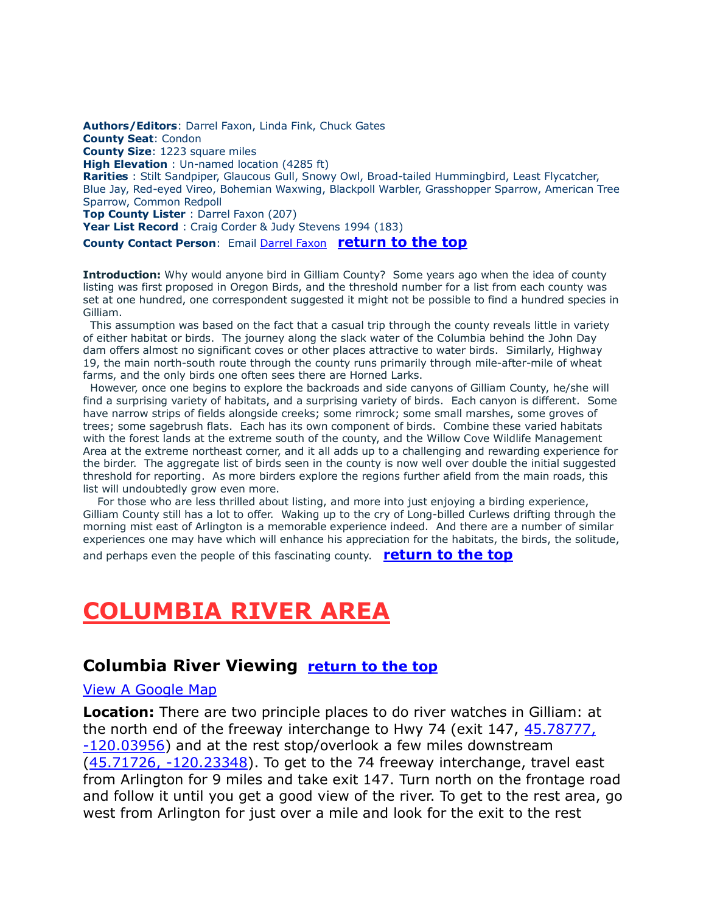<span id="page-1-0"></span>**Authors/Editors**: Darrel Faxon, Linda Fink, Chuck Gates **County Seat**: Condon **County Size**: 1223 square miles **High Elevation** : Un-named location (4285 ft) **Rarities** : Stilt Sandpiper, Glaucous Gull, Snowy Owl, Broad-tailed Hummingbird, Least Flycatcher, Blue Jay, Red-eyed Vireo, Bohemian Waxwing, Blackpoll Warbler, Grasshopper Sparrow, American Tree Sparrow, Common Redpoll **Top County Lister** : Darrel Faxon (207) **Year List Record** : Craig Corder & Judy Stevens 1994 (183) **County Contact Person**: Email [Darrel Faxon](mailto:5hats@peak.org) **[return to the top](#page-0-0)**

**Introduction:** Why would anyone bird in Gilliam County? Some years ago when the idea of county

listing was first proposed in Oregon Birds, and the threshold number for a list from each county was set at one hundred, one correspondent suggested it might not be possible to find a hundred species in Gilliam.

This assumption was based on the fact that a casual trip through the county reveals little in variety of either habitat or birds. The journey along the slack water of the Columbia behind the John Day dam offers almost no significant coves or other places attractive to water birds. Similarly, Highway 19, the main north-south route through the county runs primarily through mile-after-mile of wheat farms, and the only birds one often sees there are Horned Larks.

However, once one begins to explore the backroads and side canyons of Gilliam County, he/she will find a surprising variety of habitats, and a surprising variety of birds. Each canyon is different. Some have narrow strips of fields alongside creeks; some rimrock; some small marshes, some groves of trees; some sagebrush flats. Each has its own component of birds. Combine these varied habitats with the forest lands at the extreme south of the county, and the Willow Cove Wildlife Management Area at the extreme northeast corner, and it all adds up to a challenging and rewarding experience for the birder. The aggregate list of birds seen in the county is now well over double the initial suggested threshold for reporting. As more birders explore the regions further afield from the main roads, this list will undoubtedly grow even more.

For those who are less thrilled about listing, and more into just enjoying a birding experience, Gilliam County still has a lot to offer. Waking up to the cry of Long-billed Curlews drifting through the morning mist east of Arlington is a memorable experience indeed. And there are a number of similar experiences one may have which will enhance his appreciation for the habitats, the birds, the solitude, and perhaps even the people of this fascinating county. **[return to the top](#page-0-0)**

# <span id="page-1-1"></span>**COLUMBIA RIVER AREA**

#### <span id="page-1-2"></span>**Columbia River Viewing [return to the top](#page-0-0)**

#### [View A Google Map](http://maps.google.com/maps/ms?hl=en&ie=UTF8&msa=0&msid=108036481085398338899.00046c8fcc379989ab0c1&z=9)

**Location:** There are two principle places to do river watches in Gilliam: at the north end of the freeway interchange to Hwy 74 (exit 147, 45.78777, [-120.03956\)](https://www.google.com/maps/place/45°47) and at the rest stop/overlook a few miles downstream [\(45.71726, -120.23348\)](https://www.google.com/maps/place/45°43). To get to the 74 freeway interchange, travel east from Arlington for 9 miles and take exit 147. Turn north on the frontage road and follow it until you get a good view of the river. To get to the rest area, go west from Arlington for just over a mile and look for the exit to the rest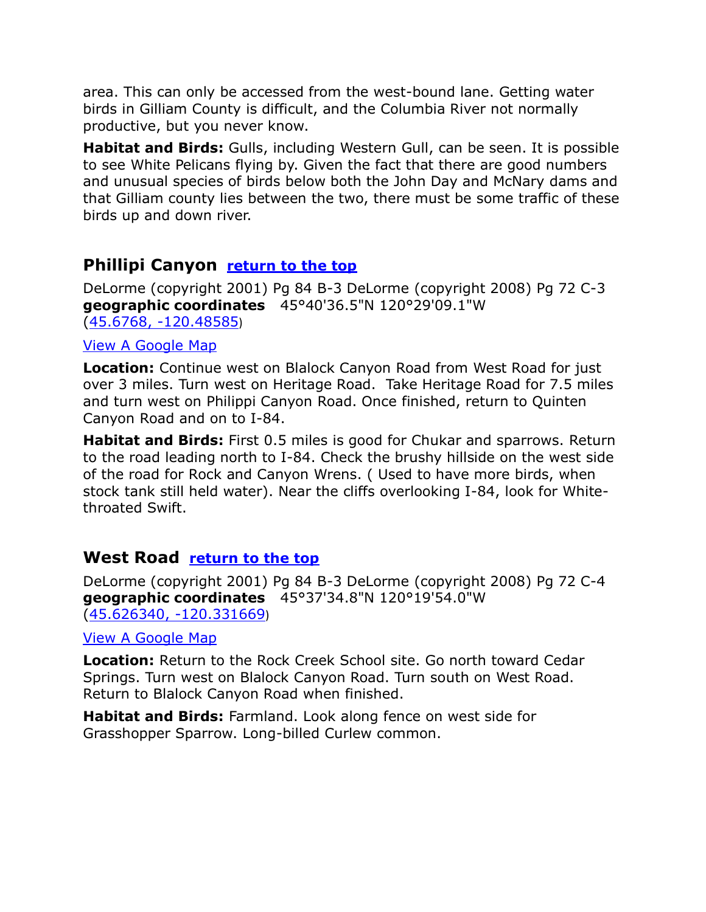area. This can only be accessed from the west-bound lane. Getting water birds in Gilliam County is difficult, and the Columbia River not normally productive, but you never know.

**Habitat and Birds:** Gulls, including Western Gull, can be seen. It is possible to see White Pelicans flying by. Given the fact that there are good numbers and unusual species of birds below both the John Day and McNary dams and that Gilliam county lies between the two, there must be some traffic of these birds up and down river.

# <span id="page-2-0"></span>**Phillipi Canyon [return to the top](#page-0-0)**

DeLorme (copyright 2001) Pg 84 B-3 DeLorme (copyright 2008) Pg 72 C-3 **geographic coordinates** 45°40'36.5"N 120°29'09.1"W [\(45.6768, -120.48585](https://www.google.com/maps/place/45°40))

#### [View A Google Map](http://maps.google.com/maps/ms?hl=en&ie=UTF8&msa=0&msid=108036481085398338899.00046c8fcc379989ab0c1&z=9)

**Location:** Continue west on Blalock Canyon Road from West Road for just over 3 miles. Turn west on Heritage Road. Take Heritage Road for 7.5 miles and turn west on Philippi Canyon Road. Once finished, return to Quinten Canyon Road and on to I-84.

**Habitat and Birds:** First 0.5 miles is good for Chukar and sparrows. Return to the road leading north to I-84. Check the brushy hillside on the west side of the road for Rock and Canyon Wrens. ( Used to have more birds, when stock tank still held water). Near the cliffs overlooking I-84, look for Whitethroated Swift.

# <span id="page-2-1"></span>**West Road [return to the top](#page-0-0)**

DeLorme (copyright 2001) Pg 84 B-3 DeLorme (copyright 2008) Pg 72 C-4 **geographic coordinates** 45°37'34.8"N 120°19'54.0"W [\(45.626340, -120.331669](https://www.google.com/maps/place/45°37))

#### [View A Google Map](http://maps.google.com/maps/ms?hl=en&ie=UTF8&msa=0&msid=108036481085398338899.00046c8fcc379989ab0c1&z=9)

**Location:** Return to the Rock Creek School site. Go north toward Cedar Springs. Turn west on Blalock Canyon Road. Turn south on West Road. Return to Blalock Canyon Road when finished.

**Habitat and Birds:** Farmland. Look along fence on west side for Grasshopper Sparrow. Long-billed Curlew common.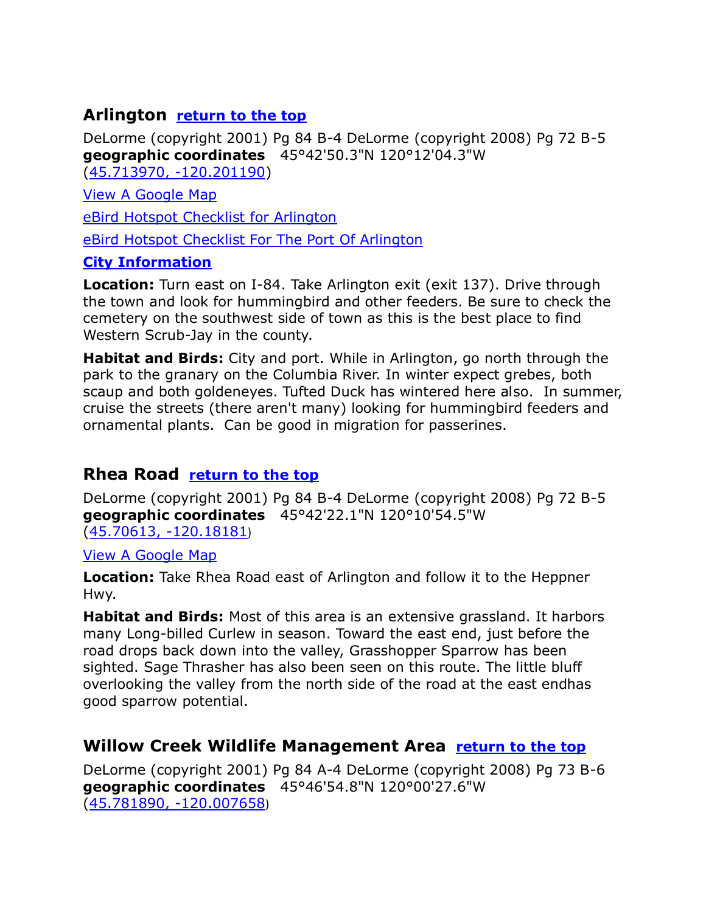# <span id="page-3-0"></span>**Arlington [return to the top](#page-0-0)**

DeLorme (copyright 2001) Pg 84 B-4 DeLorme (copyright 2008) Pg 72 B-5 **geographic coordinates** 45°42'50.3"N 120°12'04.3"W [\(45.713970, -120.201190\)](https://www.google.com/maps/place/45°42)

[View A Google Map](http://maps.google.com/maps/ms?hl=en&ie=UTF8&msa=0&msid=108036481085398338899.00046c8fcc379989ab0c1&z=9)

[eBird Hotspot Checklist for Arlington](http://ebird.org/ebird/hotspot/L1159307) 

[eBird Hotspot Checklist For The Port Of Arlington](http://ebird.org/ebird/hotspot/L3259836?yr=all&m=&rank=mrec)

#### **[City Information](http://www.citytowninfo.com/places/oregon/arlington)**

**Location:** Turn east on I-84. Take Arlington exit (exit 137). Drive through the town and look for hummingbird and other feeders. Be sure to check the cemetery on the southwest side of town as this is the best place to find Western Scrub-Jay in the county.

**Habitat and Birds:** City and port. While in Arlington, go north through the park to the granary on the Columbia River. In winter expect grebes, both scaup and both goldeneyes. Tufted Duck has wintered here also. In summer, cruise the streets (there aren't many) looking for hummingbird feeders and ornamental plants. Can be good in migration for passerines.

# <span id="page-3-1"></span>**Rhea Road [return to the top](#page-0-0)**

DeLorme (copyright 2001) Pg 84 B-4 DeLorme (copyright 2008) Pg 72 B-5 **geographic coordinates** 45°42'22.1"N 120°10'54.5"W [\(45.70613, -120.18181](https://www.google.com/maps/place/45°42))

[View A Google Map](http://maps.google.com/maps/ms?hl=en&ie=UTF8&msa=0&msid=108036481085398338899.00046c8fcc379989ab0c1&z=9)

**Location:** Take Rhea Road east of Arlington and follow it to the Heppner Hwy.

**Habitat and Birds:** Most of this area is an extensive grassland. It harbors many Long-billed Curlew in season. Toward the east end, just before the road drops back down into the valley, Grasshopper Sparrow has been sighted. Sage Thrasher has also been seen on this route. The little bluff overlooking the valley from the north side of the road at the east endhas good sparrow potential.

# <span id="page-3-2"></span>**Willow Creek Wildlife Management Area [return to the top](#page-0-0)**

DeLorme (copyright 2001) Pg 84 A-4 DeLorme (copyright 2008) Pg 73 B-6 **geographic coordinates** 45°46'54.8"N 120°00'27.6"W [\(45.781890, -120.007658](https://www.google.com/maps/place/45°46))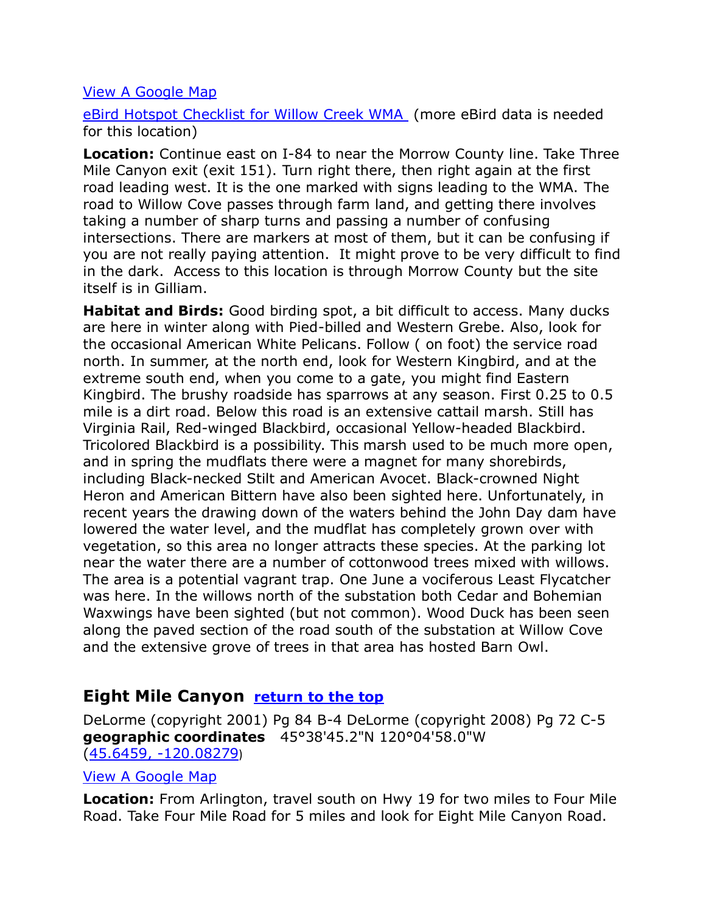#### [View A Google Map](http://maps.google.com/maps/ms?hl=en&ie=UTF8&msa=0&msid=108036481085398338899.00046c8fcc379989ab0c1&z=9)

[eBird Hotspot Checklist for Willow Creek WMA](http://ebird.org/ebird/hotspot/L2327705) (more eBird data is needed for this location)

**Location:** Continue east on I-84 to near the Morrow County line. Take Three Mile Canyon exit (exit 151). Turn right there, then right again at the first road leading west. It is the one marked with signs leading to the WMA. The road to Willow Cove passes through farm land, and getting there involves taking a number of sharp turns and passing a number of confusing intersections. There are markers at most of them, but it can be confusing if you are not really paying attention. It might prove to be very difficult to find in the dark. Access to this location is through Morrow County but the site itself is in Gilliam.

**Habitat and Birds:** Good birding spot, a bit difficult to access. Many ducks are here in winter along with Pied-billed and Western Grebe. Also, look for the occasional American White Pelicans. Follow ( on foot) the service road north. In summer, at the north end, look for Western Kingbird, and at the extreme south end, when you come to a gate, you might find Eastern Kingbird. The brushy roadside has sparrows at any season. First 0.25 to 0.5 mile is a dirt road. Below this road is an extensive cattail marsh. Still has Virginia Rail, Red-winged Blackbird, occasional Yellow-headed Blackbird. Tricolored Blackbird is a possibility. This marsh used to be much more open, and in spring the mudflats there were a magnet for many shorebirds, including Black-necked Stilt and American Avocet. Black-crowned Night Heron and American Bittern have also been sighted here. Unfortunately, in recent years the drawing down of the waters behind the John Day dam have lowered the water level, and the mudflat has completely grown over with vegetation, so this area no longer attracts these species. At the parking lot near the water there are a number of cottonwood trees mixed with willows. The area is a potential vagrant trap. One June a vociferous Least Flycatcher was here. In the willows north of the substation both Cedar and Bohemian Waxwings have been sighted (but not common). Wood Duck has been seen along the paved section of the road south of the substation at Willow Cove and the extensive grove of trees in that area has hosted Barn Owl.

# <span id="page-4-0"></span>**Eight Mile Canyon [return to the top](#page-0-0)**

DeLorme (copyright 2001) Pg 84 B-4 DeLorme (copyright 2008) Pg 72 C-5 **geographic coordinates** 45°38'45.2"N 120°04'58.0"W [\(45.6459, -120.08279](https://www.google.com/maps/place/45°38))

#### [View A Google Map](http://maps.google.com/maps/ms?hl=en&ie=UTF8&msa=0&msid=108036481085398338899.00046c8fcc379989ab0c1&z=9)

**Location:** From Arlington, travel south on Hwy 19 for two miles to Four Mile Road. Take Four Mile Road for 5 miles and look for Eight Mile Canyon Road.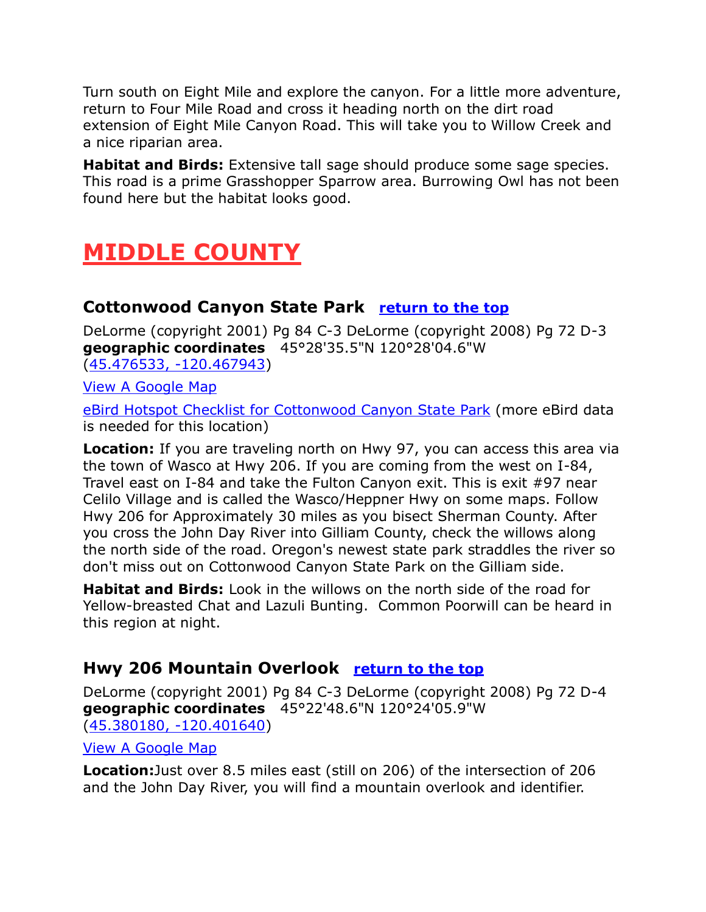Turn south on Eight Mile and explore the canyon. For a little more adventure, return to Four Mile Road and cross it heading north on the dirt road extension of Eight Mile Canyon Road. This will take you to Willow Creek and a nice riparian area.

**Habitat and Birds:** Extensive tall sage should produce some sage species. This road is a prime Grasshopper Sparrow area. Burrowing Owl has not been found here but the habitat looks good.

# <span id="page-5-0"></span>**MIDDLE COUNTY**

# <span id="page-5-1"></span>**Cottonwood Canyon State Park [return to the top](#page-0-0)**

DeLorme (copyright 2001) Pg 84 C-3 DeLorme (copyright 2008) Pg 72 D-3 **geographic coordinates** 45°28'35.5"N 120°28'04.6"W [\(45.476533, -120.467943\)](https://www.google.com/maps/place/45°28)

[View A Google Map](http://maps.google.com/maps/ms?hl=en&ie=UTF8&msa=0&msid=108036481085398338899.00046c8fcc379989ab0c1&z=9)

[eBird Hotspot Checklist for Cottonwood Canyon State Park](http://ebird.org/ebird/hotspot/L1233406) (more eBird data is needed for this location)

**Location:** If you are traveling north on Hwy 97, you can access this area via the town of Wasco at Hwy 206. If you are coming from the west on I-84, Travel east on I-84 and take the Fulton Canyon exit. This is exit #97 near Celilo Village and is called the Wasco/Heppner Hwy on some maps. Follow Hwy 206 for Approximately 30 miles as you bisect Sherman County. After you cross the John Day River into Gilliam County, check the willows along the north side of the road. Oregon's newest state park straddles the river so don't miss out on Cottonwood Canyon State Park on the Gilliam side.

**Habitat and Birds:** Look in the willows on the north side of the road for Yellow-breasted Chat and Lazuli Bunting. Common Poorwill can be heard in this region at night.

# <span id="page-5-2"></span>**Hwy 206 Mountain Overlook [return to the top](#page-0-0)**

DeLorme (copyright 2001) Pg 84 C-3 DeLorme (copyright 2008) Pg 72 D-4 **geographic coordinates** 45°22'48.6"N 120°24'05.9"W [\(45.380180, -120.401640\)](https://www.google.com/maps/place/45°22)

[View A Google Map](http://maps.google.com/maps/ms?hl=en&ie=UTF8&msa=0&msid=108036481085398338899.00046c8fcc379989ab0c1&z=9)

**Location:**Just over 8.5 miles east (still on 206) of the intersection of 206 and the John Day River, you will find a mountain overlook and identifier.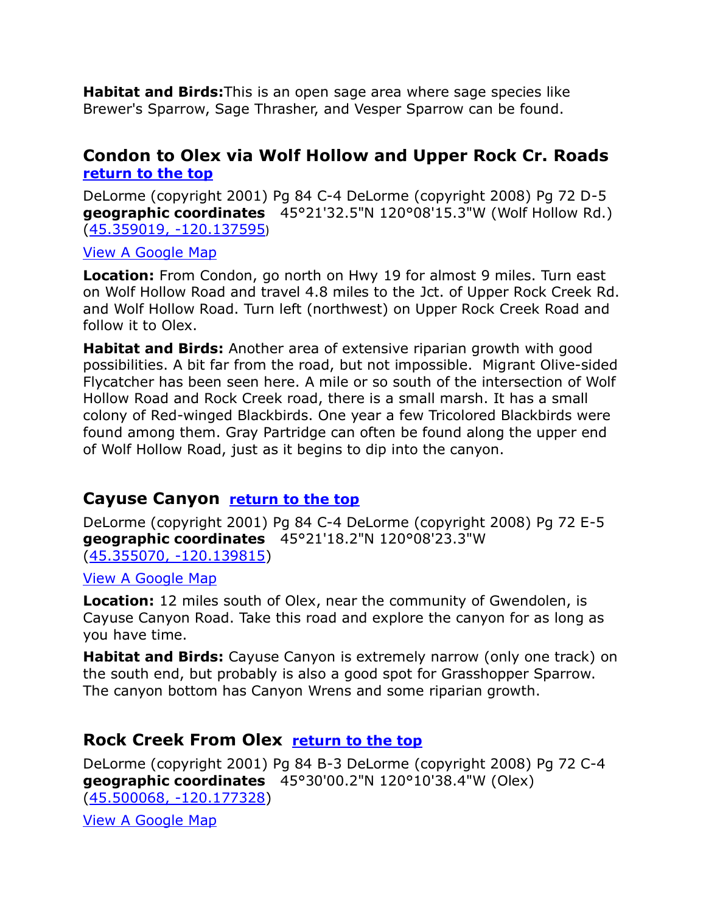**Habitat and Birds:**This is an open sage area where sage species like Brewer's Sparrow, Sage Thrasher, and Vesper Sparrow can be found.

# <span id="page-6-3"></span><span id="page-6-0"></span>**Condon to Olex via Wolf Hollow and Upper Rock Cr. Roads [return to the top](#page-0-0)**

DeLorme (copyright 2001) Pg 84 C-4 DeLorme (copyright 2008) Pg 72 D-5 **geographic coordinates** 45°21'32.5"N 120°08'15.3"W (Wolf Hollow Rd.) [\(45.359019, -120.137595](https://www.google.com/maps/place/45°21))

#### [View A Google Map](http://maps.google.com/maps/ms?hl=en&ie=UTF8&msa=0&msid=108036481085398338899.00046c8fcc379989ab0c1&z=9)

**Location:** From Condon, go north on Hwy 19 for almost 9 miles. Turn east on Wolf Hollow Road and travel 4.8 miles to the Jct. of Upper Rock Creek Rd. and Wolf Hollow Road. Turn left (northwest) on Upper Rock Creek Road and follow it to Olex.

**Habitat and Birds:** Another area of extensive riparian growth with good possibilities. A bit far from the road, but not impossible. Migrant Olive-sided Flycatcher has been seen here. A mile or so south of the intersection of Wolf Hollow Road and Rock Creek road, there is a small marsh. It has a small colony of Red-winged Blackbirds. One year a few Tricolored Blackbirds were found among them. Gray Partridge can often be found along the upper end of Wolf Hollow Road, just as it begins to dip into the canyon.

# <span id="page-6-1"></span>**Cayuse Canyon [return to the top](#page-0-0)**

DeLorme (copyright 2001) Pg 84 C-4 DeLorme (copyright 2008) Pg 72 E-5 **geographic coordinates** 45°21'18.2"N 120°08'23.3"W [\(45.355070, -120.139815\)](https://www.google.com/maps/place/45°21)

#### [View A Google Map](http://maps.google.com/maps/ms?hl=en&ie=UTF8&msa=0&msid=108036481085398338899.00046c8fcc379989ab0c1&z=9)

**Location:** 12 miles south of Olex, near the community of Gwendolen, is Cayuse Canyon Road. Take this road and explore the canyon for as long as you have time.

**Habitat and Birds:** Cayuse Canyon is extremely narrow (only one track) on the south end, but probably is also a good spot for Grasshopper Sparrow. The canyon bottom has Canyon Wrens and some riparian growth.

# <span id="page-6-2"></span>**Rock Creek From Olex [return to the top](#page-0-0)**

DeLorme (copyright 2001) Pg 84 B-3 DeLorme (copyright 2008) Pg 72 C-4 **geographic coordinates** 45°30'00.2"N 120°10'38.4"W (Olex) [\(45.500068, -120.177328\)](https://www.google.com/maps/place/45°30)

[View A Google Map](http://maps.google.com/maps/ms?hl=en&ie=UTF8&msa=0&msid=108036481085398338899.00046c8fcc379989ab0c1&z=9)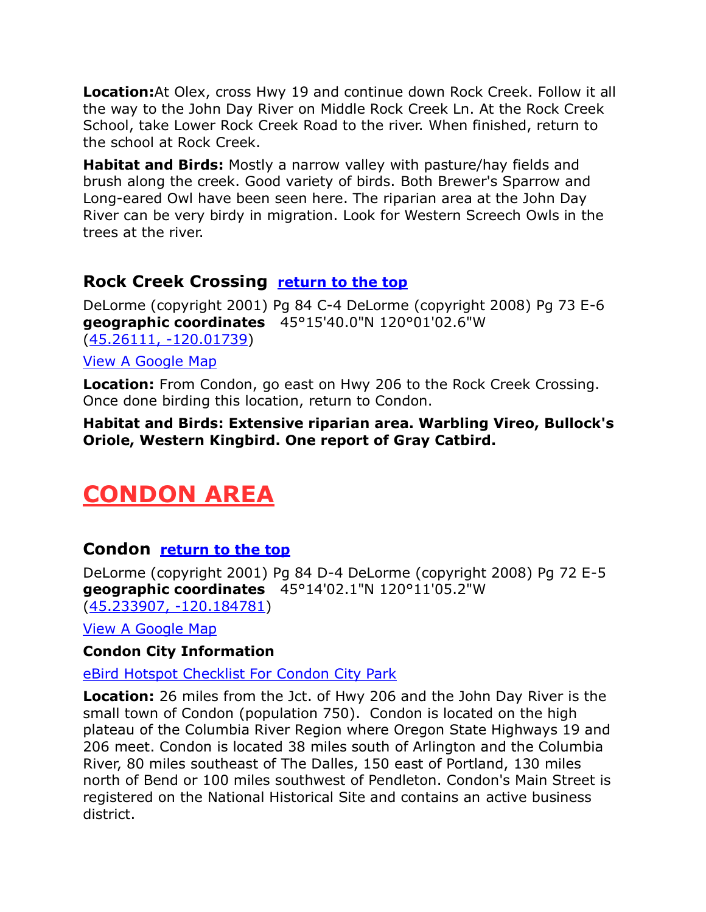**Location:**At Olex, cross Hwy 19 and continue down Rock Creek. Follow it all the way to the John Day River on Middle Rock Creek Ln. At the Rock Creek School, take Lower Rock Creek Road to the river. When finished, return to the school at Rock Creek.

**Habitat and Birds:** Mostly a narrow valley with pasture/hay fields and brush along the creek. Good variety of birds. Both Brewer's Sparrow and Long-eared Owl have been seen here. The riparian area at the John Day River can be very birdy in migration. Look for Western Screech Owls in the trees at the river.

# <span id="page-7-0"></span>**Rock Creek Crossing [return to the top](#page-0-0)**

DeLorme (copyright 2001) Pg 84 C-4 DeLorme (copyright 2008) Pg 73 E-6 **geographic coordinates** 45°15'40.0"N 120°01'02.6"W [\(45.26111, -120.01739\)](https://www.google.com/maps/place/45°15) [View A Google Map](http://maps.google.com/maps/ms?hl=en&ie=UTF8&msa=0&msid=108036481085398338899.00046c8fcc379989ab0c1&z=9)

**Location:** From Condon, go east on Hwy 206 to the Rock Creek Crossing. Once done birding this location, return to Condon.

**Habitat and Birds: Extensive riparian area. Warbling Vireo, Bullock's Oriole, Western Kingbird. One report of Gray Catbird.**

# <span id="page-7-1"></span>**CONDON AREA**

# **Condon [return to the top](#page-0-0)**

DeLorme (copyright 2001) Pg 84 D-4 DeLorme (copyright 2008) Pg 72 E-5 **geographic coordinates** 45°14'02.1"N 120°11'05.2"W [\(45.233907, -120.184781\)](https://www.google.com/maps/place/45°14)

[View A Google Map](http://maps.google.com/maps/ms?hl=en&ie=UTF8&msa=0&msid=108036481085398338899.00046c8fcc379989ab0c1&z=9)

#### **[Condon City Information](http://cityofcondon.com/)**

[eBird Hotspot Checklist For Condon City Park](http://ebird.org/ebird/hotspot/L3113644?yr=all&m=&rank=mrec)

**Location:** 26 miles from the Jct. of Hwy 206 and the John Day River is the small town of Condon (population 750). Condon is located on the high plateau of the Columbia River Region where Oregon State Highways 19 and 206 meet. Condon is located 38 miles south of Arlington and the Columbia River, 80 miles southeast of The Dalles, 150 east of Portland, 130 miles north of Bend or 100 miles southwest of Pendleton. Condon's Main Street is registered on the National Historical Site and contains an active business district.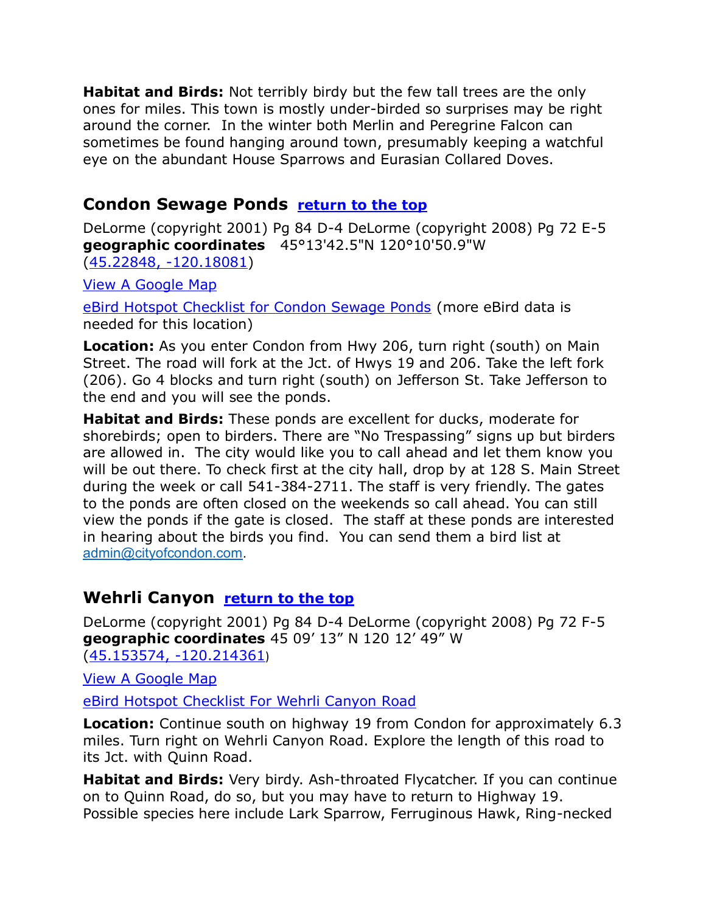**Habitat and Birds:** Not terribly birdy but the few tall trees are the only ones for miles. This town is mostly under-birded so surprises may be right around the corner. In the winter both Merlin and Peregrine Falcon can sometimes be found hanging around town, presumably keeping a watchful eye on the abundant House Sparrows and Eurasian Collared Doves.

# <span id="page-8-0"></span>**Condon Sewage Ponds [return to the top](#page-0-0)**

DeLorme (copyright 2001) Pg 84 D-4 DeLorme (copyright 2008) Pg 72 E-5 **geographic coordinates** 45°13'42.5"N 120°10'50.9"W [\(45.22848, -120.18081\)](https://www.google.com/maps/place/45°13)

[View A Google Map](http://maps.google.com/maps/ms?hl=en&ie=UTF8&msa=0&msid=108036481085398338899.00046c8fcc379989ab0c1&z=9)

[eBird Hotspot Checklist for Condon Sewage Ponds](http://ebird.org/ebird/hotspot/L1660621?yr=all&m=&rank=mrec) (more eBird data is needed for this location)

**Location:** As you enter Condon from Hwy 206, turn right (south) on Main Street. The road will fork at the Jct. of Hwys 19 and 206. Take the left fork (206). Go 4 blocks and turn right (south) on Jefferson St. Take Jefferson to the end and you will see the ponds.

**Habitat and Birds:** These ponds are excellent for ducks, moderate for shorebirds; open to birders. There are "No Trespassing" signs up but birders are allowed in. The city would like you to call ahead and let them know you will be out there. To check first at the city hall, drop by at 128 S. Main Street during the week or call 541-384-2711. The staff is very friendly. The gates to the ponds are often closed on the weekends so call ahead. You can still view the ponds if the gate is closed. The staff at these ponds are interested in hearing about the birds you find. You can send them a bird list at [admin@cityofcondon.com.](mailto:admin@cityofcondon.com)

# <span id="page-8-1"></span>**Wehrli Canyon <u>[return to the top](#page-0-0)</u>**

DeLorme (copyright 2001) Pg 84 D-4 DeLorme (copyright 2008) Pg 72 F-5 **geographic coordinates** 45 09' 13" N 120 12' 49" W [\(45.153574, -120.214361](https://www.google.com/maps/place/45°09))

[View A Google Map](http://maps.google.com/maps/ms?hl=en&ie=UTF8&msa=0&msid=108036481085398338899.00046c8fcc379989ab0c1&z=9)

[eBird Hotspot Checklist For Wehrli Canyon Road](http://ebird.org/ebird/hotspot/L3481457?yr=all&m=&rank=mrec)

**Location:** Continue south on highway 19 from Condon for approximately 6.3 miles. Turn right on Wehrli Canyon Road. Explore the length of this road to its Jct. with Quinn Road.

**Habitat and Birds:** Very birdy. Ash-throated Flycatcher. If you can continue on to Quinn Road, do so, but you may have to return to Highway 19. Possible species here include Lark Sparrow, Ferruginous Hawk, Ring-necked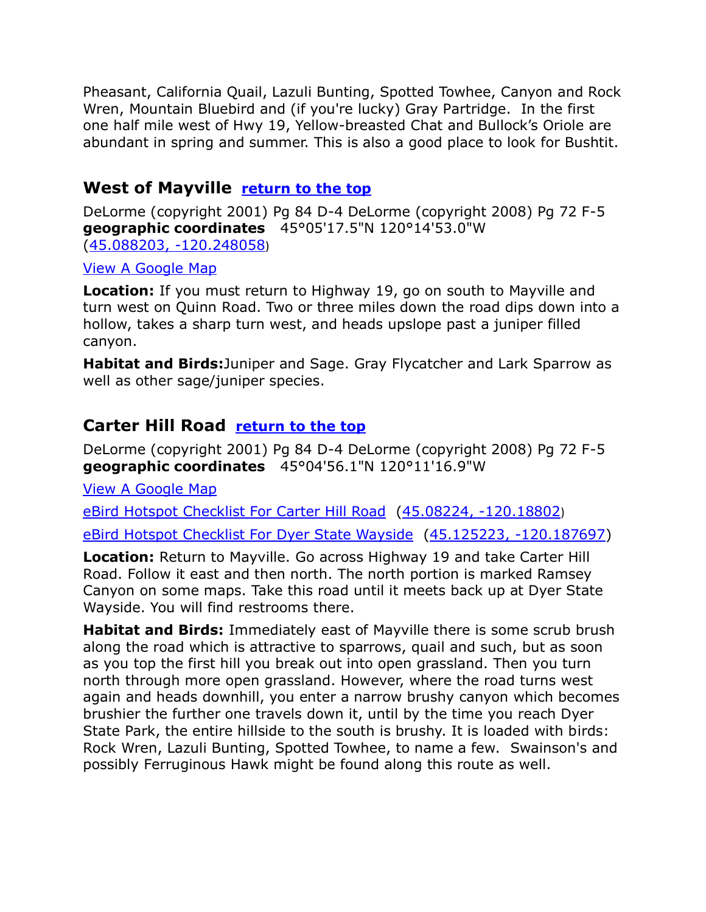Pheasant, California Quail, Lazuli Bunting, Spotted Towhee, Canyon and Rock Wren, Mountain Bluebird and (if you're lucky) Gray Partridge. In the first one half mile west of Hwy 19, Yellow-breasted Chat and Bullock's Oriole are abundant in spring and summer. This is also a good place to look for Bushtit.

# <span id="page-9-0"></span>**West of Mayville [return to the top](#page-0-0)**

DeLorme (copyright 2001) Pg 84 D-4 DeLorme (copyright 2008) Pg 72 F-5 **geographic coordinates** 45°05'17.5"N 120°14'53.0"W [\(45.088203, -120.248058](https://www.google.com/maps/place/45°05))

#### [View A Google Map](http://maps.google.com/maps/ms?hl=en&ie=UTF8&msa=0&msid=108036481085398338899.00046c8fcc379989ab0c1&z=9)

**Location:** If you must return to Highway 19, go on south to Mayville and turn west on Quinn Road. Two or three miles down the road dips down into a hollow, takes a sharp turn west, and heads upslope past a juniper filled canyon.

**Habitat and Birds:**Juniper and Sage. Gray Flycatcher and Lark Sparrow as well as other sage/juniper species.

# <span id="page-9-1"></span>**Carter Hill Road [return to the top](#page-0-0)**

DeLorme (copyright 2001) Pg 84 D-4 DeLorme (copyright 2008) Pg 72 F-5 **geographic coordinates** 45°04'56.1"N 120°11'16.9"W

[View A Google Map](http://maps.google.com/maps/ms?hl=en&ie=UTF8&msa=0&msid=108036481085398338899.00046c8fcc379989ab0c1&z=9)

[eBird Hotspot Checklist For Carter Hill Road](http://ebird.org/ebird/hotspot/L3481468?yr=all&m=&rank=mrec) [\(45.08224, -120.18802](https://www.google.com/maps/place/45°04))

[eBird Hotspot Checklist For Dyer State Wayside](http://ebird.org/ebird/hotspot/L3734646?yr=all&m=&rank=mrec) [\(45.125223, -120.187697\)](https://www.google.com/maps/place/45°07)

**Location:** Return to Mayville. Go across Highway 19 and take Carter Hill Road. Follow it east and then north. The north portion is marked Ramsey Canyon on some maps. Take this road until it meets back up at Dyer State Wayside. You will find restrooms there.

**Habitat and Birds:** Immediately east of Mayville there is some scrub brush along the road which is attractive to sparrows, quail and such, but as soon as you top the first hill you break out into open grassland. Then you turn north through more open grassland. However, where the road turns west again and heads downhill, you enter a narrow brushy canyon which becomes brushier the further one travels down it, until by the time you reach Dyer State Park, the entire hillside to the south is brushy. It is loaded with birds: Rock Wren, Lazuli Bunting, Spotted Towhee, to name a few. Swainson's and possibly Ferruginous Hawk might be found along this route as well.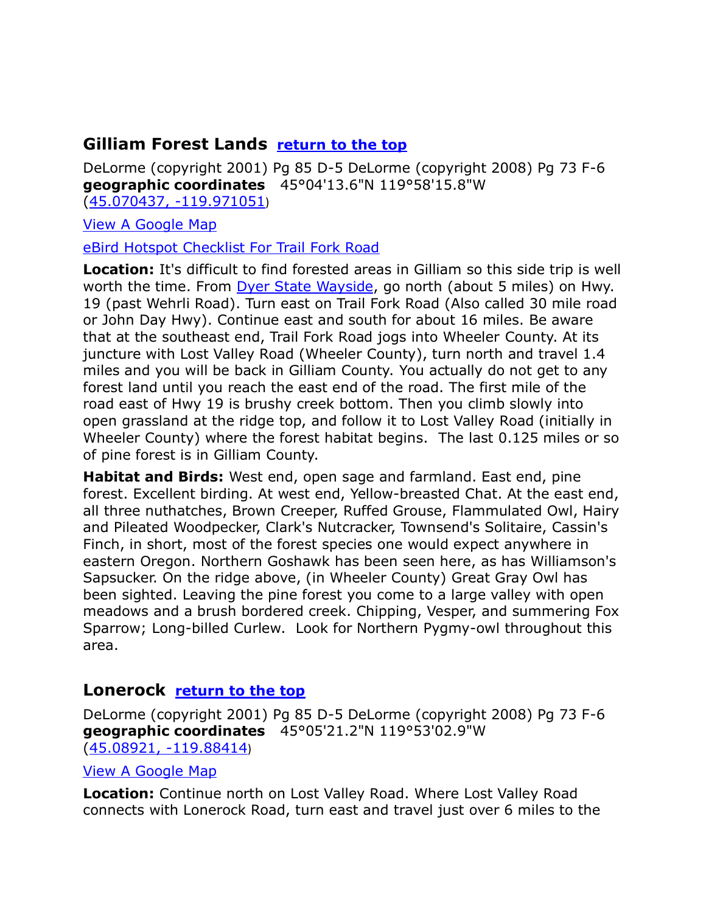# <span id="page-10-0"></span>**Gilliam Forest Lands [return to the top](#page-0-0)**

DeLorme (copyright 2001) Pg 85 D-5 DeLorme (copyright 2008) Pg 73 F-6 **geographic coordinates** 45°04'13.6"N 119°58'15.8"W [\(45.070437, -119.971051](https://www.google.com/maps/place/45°04))

[View A Google Map](http://maps.google.com/maps/ms?hl=en&ie=UTF8&msa=0&msid=108036481085398338899.00046c8fcc379989ab0c1&z=9)

[eBird Hotspot Checklist For Trail Fork Road](http://ebird.org/ebird/hotspot/L3763201?yr=all&m=&rank=mrec)

**Location:** It's difficult to find forested areas in Gilliam so this side trip is well worth the time. From [Dyer State Wayside,](#page-9-1) go north (about 5 miles) on Hwy. 19 (past Wehrli Road). Turn east on Trail Fork Road (Also called 30 mile road or John Day Hwy). Continue east and south for about 16 miles. Be aware that at the southeast end, Trail Fork Road jogs into Wheeler County. At its juncture with Lost Valley Road (Wheeler County), turn north and travel 1.4 miles and you will be back in Gilliam County. You actually do not get to any forest land until you reach the east end of the road. The first mile of the road east of Hwy 19 is brushy creek bottom. Then you climb slowly into open grassland at the ridge top, and follow it to Lost Valley Road (initially in Wheeler County) where the forest habitat begins. The last 0.125 miles or so of pine forest is in Gilliam County.

**Habitat and Birds:** West end, open sage and farmland. East end, pine forest. Excellent birding. At west end, Yellow-breasted Chat. At the east end, all three nuthatches, Brown Creeper, Ruffed Grouse, Flammulated Owl, Hairy and Pileated Woodpecker, Clark's Nutcracker, Townsend's Solitaire, Cassin's Finch, in short, most of the forest species one would expect anywhere in eastern Oregon. Northern Goshawk has been seen here, as has Williamson's Sapsucker. On the ridge above, (in Wheeler County) Great Gray Owl has been sighted. Leaving the pine forest you come to a large valley with open meadows and a brush bordered creek. Chipping, Vesper, and summering Fox Sparrow; Long-billed Curlew. Look for Northern Pygmy-owl throughout this area.

# <span id="page-10-1"></span>**Lonerock [return to the top](#page-0-0)**

DeLorme (copyright 2001) Pg 85 D-5 DeLorme (copyright 2008) Pg 73 F-6 **geographic coordinates** 45°05'21.2"N 119°53'02.9"W [\(45.08921, -119.88414](https://www.google.com/maps/place/45°05))

[View A Google Map](http://maps.google.com/maps/ms?hl=en&ie=UTF8&msa=0&msid=108036481085398338899.00046c8fcc379989ab0c1&z=9)

**Location:** Continue north on Lost Valley Road. Where Lost Valley Road connects with Lonerock Road, turn east and travel just over 6 miles to the